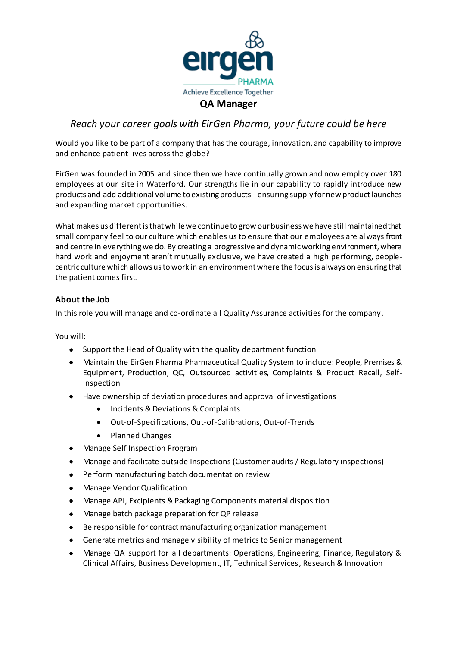

# *Reach your career goals with EirGen Pharma, your future could be here*

Would you like to be part of a company that has the courage, innovation, and capability to improve and enhance patient lives across the globe?

EirGen was founded in 2005 and since then we have continually grown and now employ over 180 employees at our site in Waterford. Our strengths lie in our capability to rapidly introduce new products and add additional volume to existing products - ensuring supply for new product launches and expanding market opportunities.

What makes us different is that while we continue to grow our business we have still maintained that small company feel to our culture which enables us to ensure that our employees are always front and centre in everything we do. By creating a progressive and dynamic working environment, where hard work and enjoyment aren't mutually exclusive, we have created a high performing, peoplecentric culture which allows us to work in an environment where the focus is always on ensuring that the patient comes first.

## **About the Job**

In this role you will manage and co-ordinate all Quality Assurance activities for the company.

You will:

- Support the Head of Quality with the quality department function
- Maintain the EirGen Pharma Pharmaceutical Quality System to include: People, Premises & Equipment, Production, QC, Outsourced activities, Complaints & Product Recall, Self-Inspection
- Have ownership of deviation procedures and approval of investigations
	- Incidents & Deviations & Complaints
	- Out-of-Specifications, Out-of-Calibrations, Out-of-Trends
	- Planned Changes
- Manage Self Inspection Program
- Manage and facilitate outside Inspections (Customer audits / Regulatory inspections)
- Perform manufacturing batch documentation review
- Manage Vendor Qualification
- Manage API, Excipients & Packaging Components material disposition
- Manage batch package preparation for QP release
- Be responsible for contract manufacturing organization management
- Generate metrics and manage visibility of metrics to Senior management
- Manage QA support for all departments: Operations, Engineering, Finance, Regulatory & Clinical Affairs, Business Development, IT, Technical Services, Research & Innovation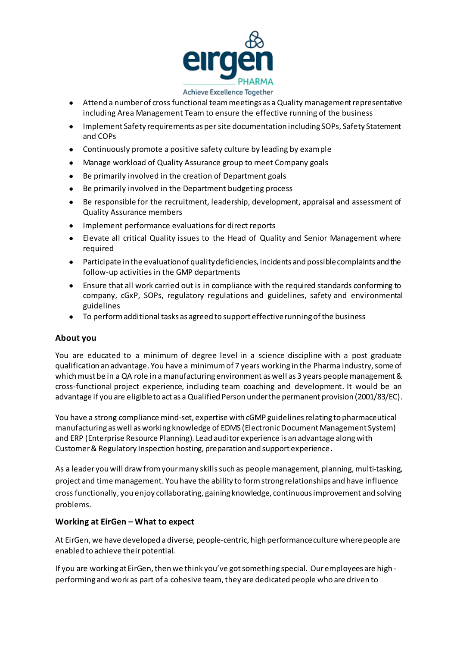

#### Achieve Excellence Together

- Attend a number of cross functional team meetings as a Quality management representative including Area Management Team to ensure the effective running of the business
- Implement Safety requirements as per site documentation including SOPs, Safety Statement and COPs
- Continuously promote a positive safety culture by leading by example
- Manage workload of Quality Assurance group to meet Company goals
- Be primarily involved in the creation of Department goals
- Be primarily involved in the Department budgeting process
- Be responsible for the recruitment, leadership, development, appraisal and assessment of Quality Assurance members
- Implement performance evaluations for direct reports
- Elevate all critical Quality issues to the Head of Quality and Senior Management where required
- Participate in the evaluation of quality deficiencies, incidents and possible complaints and the follow-up activities in the GMP departments
- Ensure that all work carried out is in compliance with the required standards conforming to company, cGxP, SOPs, regulatory regulations and guidelines, safety and environmental guidelines
- To perform additional tasks as agreed to support effective running of the business

### **About you**

You are educated to a minimum of degree level in a science discipline with a post graduate qualification an advantage. You have a minimum of 7 years working in the Pharma industry, some of which must be in a QA role in a manufacturing environment as well as 3 years people management & cross-functional project experience, including team coaching and development. It would be an advantage if you are eligible to act as a Qualified Person under the permanent provision (2001/83/EC).

You have a strong compliance mind-set, expertise with cGMP guidelinesrelating to pharmaceutical manufacturing as well as working knowledge of EDMS (Electronic Document Management System) and ERP (Enterprise Resource Planning). Lead auditor experience is an advantage along with Customer & Regulatory Inspection hosting, preparation and support experience.

As a leader you will draw from your many skills such as people management, planning, multi-tasking, project and time management. You have the ability to form strong relationships and have influence cross functionally, you enjoy collaborating, gaining knowledge, continuous improvement and solving problems.

### **Working at EirGen – What to expect**

At EirGen, we have developed a diverse, people-centric, high performance culture where people are enabled to achieve their potential.

If you are working at EirGen, then we think you've got something special. Our employees are highperforming and work as part of a cohesive team, they are dedicated people who are driven to